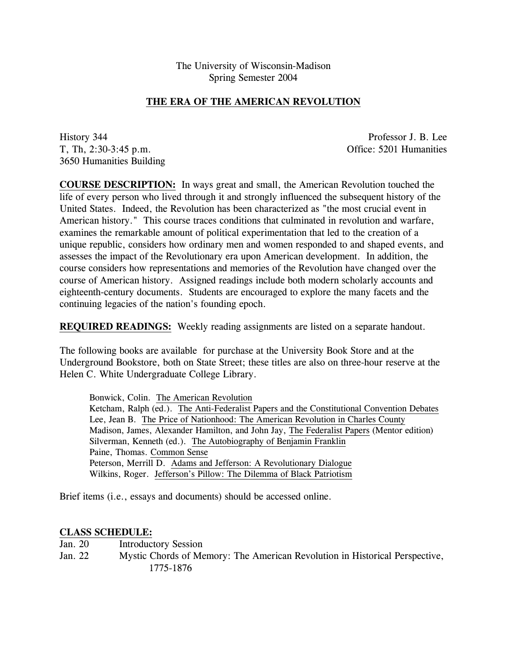The University of Wisconsin-Madison Spring Semester 2004

## **THE ERA OF THE AMERICAN REVOLUTION**

History 344 Professor J. B. Lee T, Th, 2:30-3:45 p.m. Office: 5201 Humanities 3650 Humanities Building

**COURSE DESCRIPTION:** In ways great and small, the American Revolution touched the life of every person who lived through it and strongly influenced the subsequent history of the United States. Indeed, the Revolution has been characterized as "the most crucial event in American history." This course traces conditions that culminated in revolution and warfare, examines the remarkable amount of political experimentation that led to the creation of a unique republic, considers how ordinary men and women responded to and shaped events, and assesses the impact of the Revolutionary era upon American development. In addition, the course considers how representations and memories of the Revolution have changed over the course of American history. Assigned readings include both modern scholarly accounts and eighteenth-century documents. Students are encouraged to explore the many facets and the continuing legacies of the nation's founding epoch.

**REQUIRED READINGS:** Weekly reading assignments are listed on a separate handout.

The following books are available for purchase at the University Book Store and at the Underground Bookstore, both on State Street; these titles are also on three-hour reserve at the Helen C. White Undergraduate College Library.

Bonwick, Colin. The American Revolution Ketcham, Ralph (ed.). The Anti-Federalist Papers and the Constitutional Convention Debates Lee, Jean B. The Price of Nationhood: The American Revolution in Charles County Madison, James, Alexander Hamilton, and John Jay, The Federalist Papers (Mentor edition) Silverman, Kenneth (ed.). The Autobiography of Benjamin Franklin Paine, Thomas. Common Sense Peterson, Merrill D. Adams and Jefferson: A Revolutionary Dialogue Wilkins, Roger. Jefferson's Pillow: The Dilemma of Black Patriotism

Brief items (i.e., essays and documents) should be accessed online.

## **CLASS SCHEDULE:**

Jan. 20 Introductory Session Jan. 22 Mystic Chords of Memory: The American Revolution in Historical Perspective, 1775-1876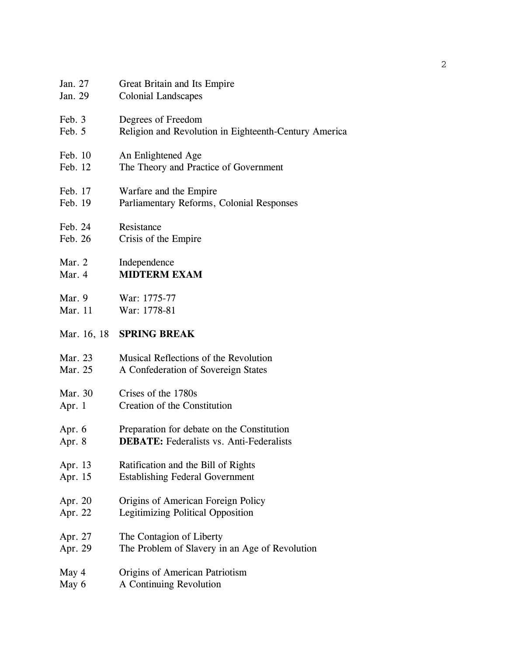| Jan. 27     | Great Britain and Its Empire                          |
|-------------|-------------------------------------------------------|
| Jan. 29     | <b>Colonial Landscapes</b>                            |
| Feb. 3      | Degrees of Freedom                                    |
| Feb. 5      | Religion and Revolution in Eighteenth-Century America |
| Feb. 10     | An Enlightened Age                                    |
| Feb. 12     | The Theory and Practice of Government                 |
| Feb. 17     | Warfare and the Empire                                |
| Feb. 19     | Parliamentary Reforms, Colonial Responses             |
| Feb. 24     | Resistance                                            |
| Feb. 26     | Crisis of the Empire                                  |
| Mar. 2      | Independence                                          |
| Mar. 4      | <b>MIDTERM EXAM</b>                                   |
| Mar. 9      | War: 1775-77                                          |
| Mar. 11     | War: 1778-81                                          |
| Mar. 16, 18 | <b>SPRING BREAK</b>                                   |
| Mar. 23     | Musical Reflections of the Revolution                 |
| Mar. 25     | A Confederation of Sovereign States                   |
| Mar. 30     | Crises of the 1780s                                   |
| Apr. 1      | Creation of the Constitution                          |
| Apr. $6$    | Preparation for debate on the Constitution            |
| Apr. 8      | <b>DEBATE:</b> Federalists vs. Anti-Federalists       |
| Apr. 13     | Ratification and the Bill of Rights                   |
| Apr. 15     | <b>Establishing Federal Government</b>                |
| Apr. 20     | Origins of American Foreign Policy                    |
| Apr. 22     | <b>Legitimizing Political Opposition</b>              |
| Apr. 27     | The Contagion of Liberty                              |
| Apr. 29     | The Problem of Slavery in an Age of Revolution        |
| May 4       | Origins of American Patriotism                        |
| May 6       | A Continuing Revolution                               |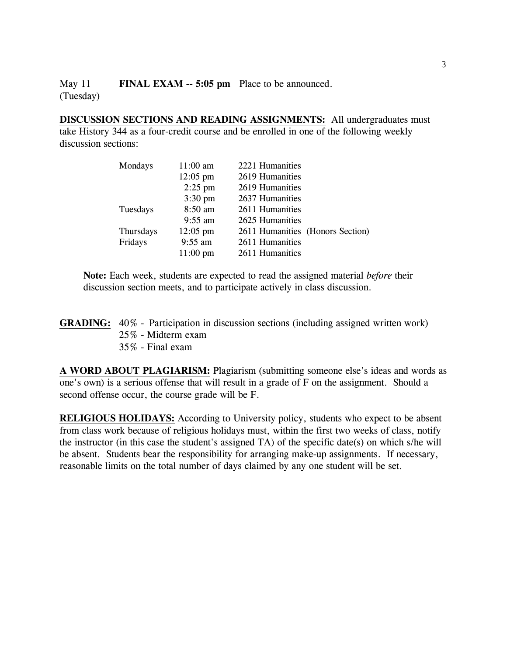May 11 **FINAL EXAM -- 5:05 pm** Place to be announced. (Tuesday)

**DISCUSSION SECTIONS AND READING ASSIGNMENTS:** All undergraduates must take History 344 as a four-credit course and be enrolled in one of the following weekly discussion sections:

| Mondays   | $11:00$ am         | 2221 Humanities                  |
|-----------|--------------------|----------------------------------|
|           | $12:05 \text{ pm}$ | 2619 Humanities                  |
|           | $2:25$ pm          | 2619 Humanities                  |
|           | $3:30 \text{ pm}$  | 2637 Humanities                  |
| Tuesdays  | $8:50$ am          | 2611 Humanities                  |
|           | $9:55$ am          | 2625 Humanities                  |
| Thursdays | $12:05 \text{ pm}$ | 2611 Humanities (Honors Section) |
| Fridays   | $9:55$ am          | 2611 Humanities                  |
|           | $11:00 \text{ pm}$ | 2611 Humanities                  |

**Note:** Each week, students are expected to read the assigned material *before* their discussion section meets, and to participate actively in class discussion.

**GRADING:** 40% - Participation in discussion sections (including assigned written work) 25% - Midterm exam 35% - Final exam

**A WORD ABOUT PLAGIARISM:** Plagiarism (submitting someone else's ideas and words as one's own) is a serious offense that will result in a grade of F on the assignment. Should a second offense occur, the course grade will be F.

**RELIGIOUS HOLIDAYS:** According to University policy, students who expect to be absent from class work because of religious holidays must, within the first two weeks of class, notify the instructor (in this case the student's assigned TA) of the specific date(s) on which s/he will be absent. Students bear the responsibility for arranging make-up assignments. If necessary, reasonable limits on the total number of days claimed by any one student will be set.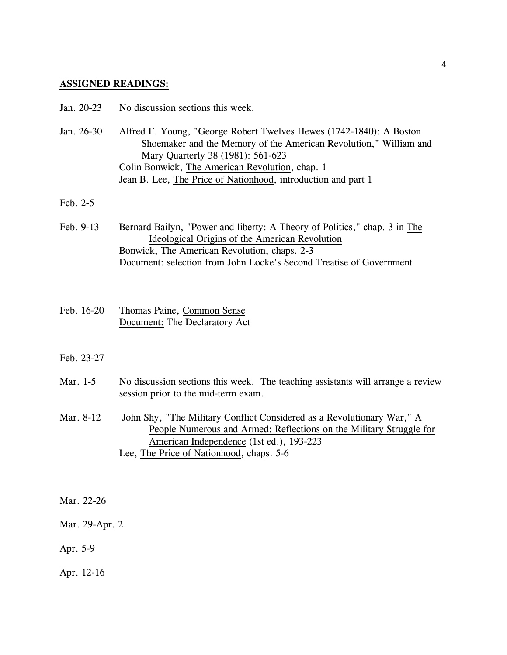## **ASSIGNED READINGS:**

| Jan. 20-23 | No discussion sections this week.                                                                                                                                                                                                                                                                 |
|------------|---------------------------------------------------------------------------------------------------------------------------------------------------------------------------------------------------------------------------------------------------------------------------------------------------|
| Jan. 26-30 | Alfred F. Young, "George Robert Twelves Hewes (1742-1840): A Boston<br>Shoemaker and the Memory of the American Revolution," William and<br>Mary Quarterly 38 (1981): 561-623<br>Colin Bonwick, The American Revolution, chap. 1<br>Jean B. Lee, The Price of Nationhood, introduction and part 1 |
| Feb. 2-5   |                                                                                                                                                                                                                                                                                                   |
| Feb. 9-13  | Bernard Bailyn, "Power and liberty: A Theory of Politics," chap. 3 in The<br>Ideological Origins of the American Revolution<br>Bonwick, The American Revolution, chaps. 2-3<br>Document: selection from John Locke's Second Treatise of Government                                                |

Feb. 16-20 Thomas Paine, Common Sense Document: The Declaratory Act

## Feb. 23-27

- Mar. 1-5 No discussion sections this week. The teaching assistants will arrange a review session prior to the mid-term exam.
- Mar. 8-12 John Shy, "The Military Conflict Considered as a Revolutionary War," A People Numerous and Armed: Reflections on the Military Struggle for American Independence (1st ed.), 193-223 Lee, The Price of Nationhood, chaps. 5-6

Mar. 22-26

Mar. 29-Apr. 2

Apr. 5-9

Apr. 12-16